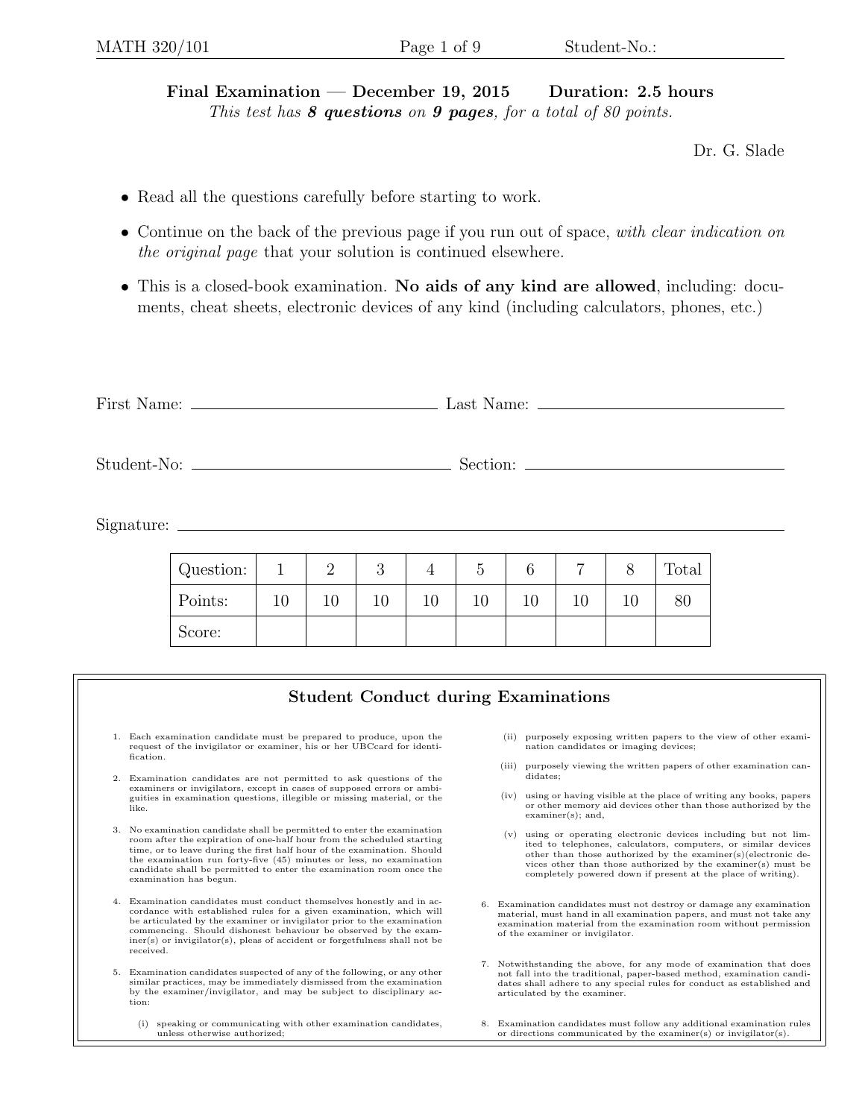Final Examination — December 19, 2015 Duration: 2.5 hours This test has  $8$  questions on  $9$  pages, for a total of  $80$  points.

Dr. G. Slade

- Read all the questions carefully before starting to work.
- Continue on the back of the previous page if you run out of space, with clear indication on the original page that your solution is continued elsewhere.
- This is a closed-book examination. No aids of any kind are allowed, including: documents, cheat sheets, electronic devices of any kind (including calculators, phones, etc.)

| $Signature: \_\_\_\_\_\_\_\_\_$                                                                                                                                                                                                                                                                                                                                                                                                                                                                                                                |           |              |                |    |                                            |    |       |                                                                                                                                                                                                                                                                 |    |    |       |  |  |  |
|------------------------------------------------------------------------------------------------------------------------------------------------------------------------------------------------------------------------------------------------------------------------------------------------------------------------------------------------------------------------------------------------------------------------------------------------------------------------------------------------------------------------------------------------|-----------|--------------|----------------|----|--------------------------------------------|----|-------|-----------------------------------------------------------------------------------------------------------------------------------------------------------------------------------------------------------------------------------------------------------------|----|----|-------|--|--|--|
|                                                                                                                                                                                                                                                                                                                                                                                                                                                                                                                                                | Question: | $\mathbf{1}$ | $\overline{2}$ | 3  | 4                                          | 5  |       | 6                                                                                                                                                                                                                                                               | 7  | 8  | Total |  |  |  |
|                                                                                                                                                                                                                                                                                                                                                                                                                                                                                                                                                | Points:   | 10           | 10             | 10 | 10                                         | 10 |       | 10                                                                                                                                                                                                                                                              | 10 | 10 | 80    |  |  |  |
|                                                                                                                                                                                                                                                                                                                                                                                                                                                                                                                                                | Score:    |              |                |    |                                            |    |       |                                                                                                                                                                                                                                                                 |    |    |       |  |  |  |
|                                                                                                                                                                                                                                                                                                                                                                                                                                                                                                                                                |           |              |                |    |                                            |    |       |                                                                                                                                                                                                                                                                 |    |    |       |  |  |  |
|                                                                                                                                                                                                                                                                                                                                                                                                                                                                                                                                                |           |              |                |    | <b>Student Conduct during Examinations</b> |    |       |                                                                                                                                                                                                                                                                 |    |    |       |  |  |  |
| 1. Each examination candidate must be prepared to produce, upon the<br>request of the invigilator or examiner, his or her UBCcard for identi-<br>fication.                                                                                                                                                                                                                                                                                                                                                                                     |           |              |                |    |                                            |    | (ii)  | purposely exposing written papers to the view of other exami-<br>nation candidates or imaging devices;                                                                                                                                                          |    |    |       |  |  |  |
| 2. Examination candidates are not permitted to ask questions of the<br>examiners or invigilators, except in cases of supposed errors or ambi-<br>guities in examination questions, illegible or missing material, or the<br>like.                                                                                                                                                                                                                                                                                                              |           |              |                |    |                                            |    | (iii) | purposely viewing the written papers of other examination can-<br>didates;                                                                                                                                                                                      |    |    |       |  |  |  |
|                                                                                                                                                                                                                                                                                                                                                                                                                                                                                                                                                |           |              |                |    |                                            |    | (iv)  | using or having visible at the place of writing any books, papers<br>or other memory aid devices other than those authorized by the<br>$examiner(s);$ and,                                                                                                      |    |    |       |  |  |  |
| 3. No examination candidate shall be permitted to enter the examination<br>room after the expiration of one-half hour from the scheduled starting<br>time, or to leave during the first half hour of the examination. Should<br>the examination run forty-five (45) minutes or less, no examination<br>$\mathbf{r} = \mathbf{r}$ , and the contract of the contract of the contract of the contract of the contract of the contract of the contract of the contract of the contract of the contract of the contract of the contract of the con |           |              |                |    |                                            |    | (v)   | using or operating electronic devices including but not lim-<br>ited to telephones, calculators, computers, or similar devices<br>other than those authorized by the examiner(s)(electronic de-<br>vices other than those authorized by the examiner(s) must be |    |    |       |  |  |  |

- 4. Examination candidates must conduct themselves honestly and in accordance with established rules for a given examination, which will be articulated by the examiner or invigilator prior to the examination commencing. Should dishonest behaviour be observed by the examiner(s) or invigilator(s), pleas of accident or forgetfulness shall not be received.
- 5. Examination candidates suspected of any of the following, or any other similar practices, may be immediately dismissed from the examination by the examiner/invigilator, and may be subject to disciplinary action:

candidate shall be permitted to enter the examination room once the

examination has begun.

- (i) speaking or communicating with other examination candidates, unless otherwise authorized;
- 6. Examination candidates must not destroy or damage any examination material, must hand in all examination papers, and must not take any examination material from the examination room without permission of the examiner or invigilator.

completely powered down if present at the place of writing).

- 7. Notwithstanding the above, for any mode of examination that does not fall into the traditional, paper-based method, examination candidates shall adhere to any special rules for conduct as established and articulated by the examiner.
- 8. Examination candidates must follow any additional examination rules or directions communicated by the examiner(s) or invigilator(s).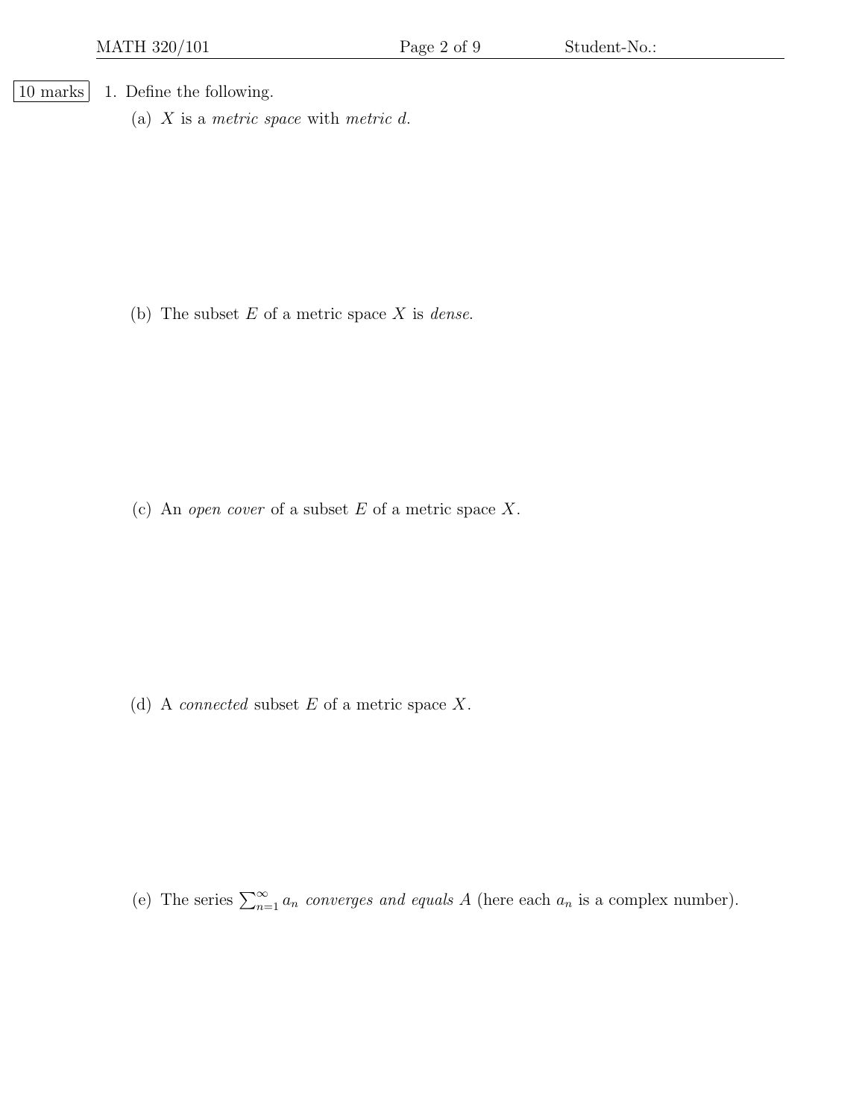| 10 marks | 1. Define the following.

(a)  $X$  is a metric space with metric  $d$ .

(b) The subset  $E$  of a metric space  $X$  is *dense*.

(c) An open cover of a subset  $E$  of a metric space  $X$ .

(d) A *connected* subset  $E$  of a metric space  $X$ .

(e) The series  $\sum_{n=1}^{\infty} a_n$  converges and equals A (here each  $a_n$  is a complex number).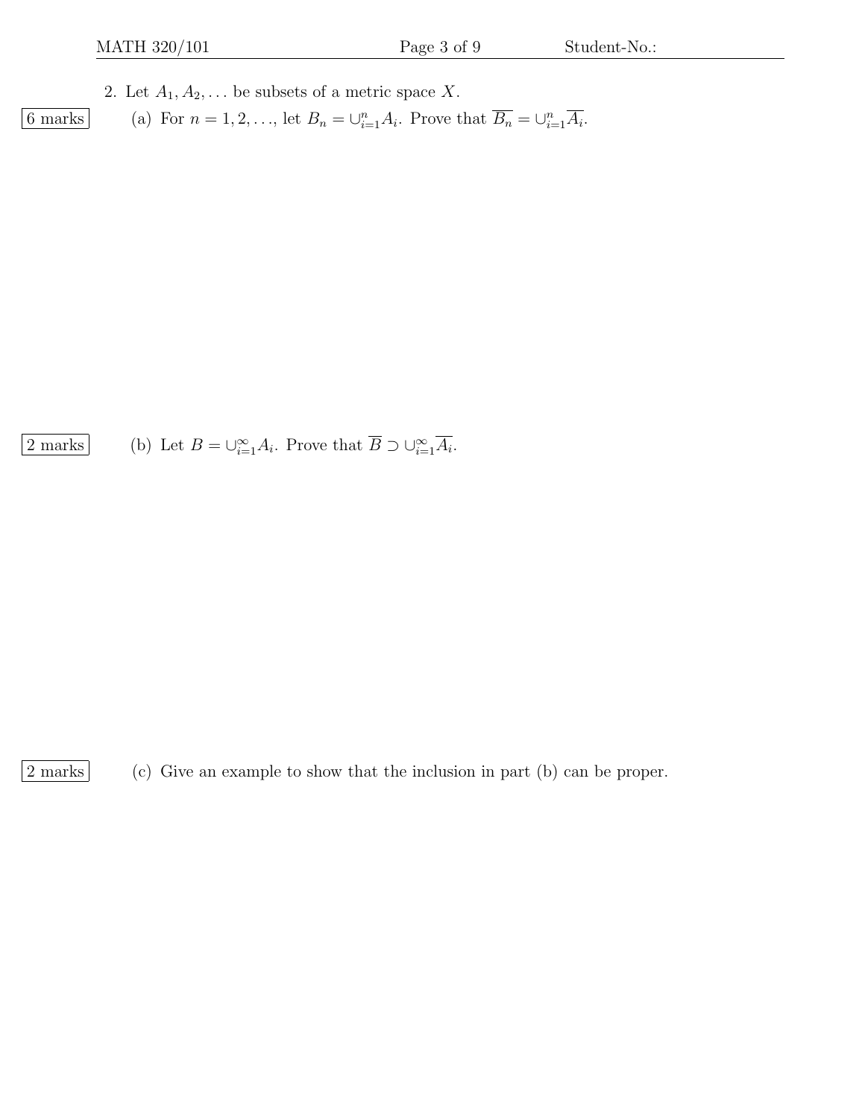2. Let  $A_1, A_2, \ldots$  be subsets of a metric space X.

6 marks (a) For  $n = 1, 2, ...,$  let  $B_n = \bigcup_{i=1}^n A_i$ . Prove that  $\overline{B_n} = \bigcup_{i=1}^n \overline{A_i}$ .

 $\boxed{2 \text{ marks}}$  (b) Let  $B = \bigcup_{i=1}^{\infty} A_i$ . Prove that  $\overline{B} \supset \bigcup_{i=1}^{\infty} \overline{A_i}$ .

2 marks (c) Give an example to show that the inclusion in part (b) can be proper.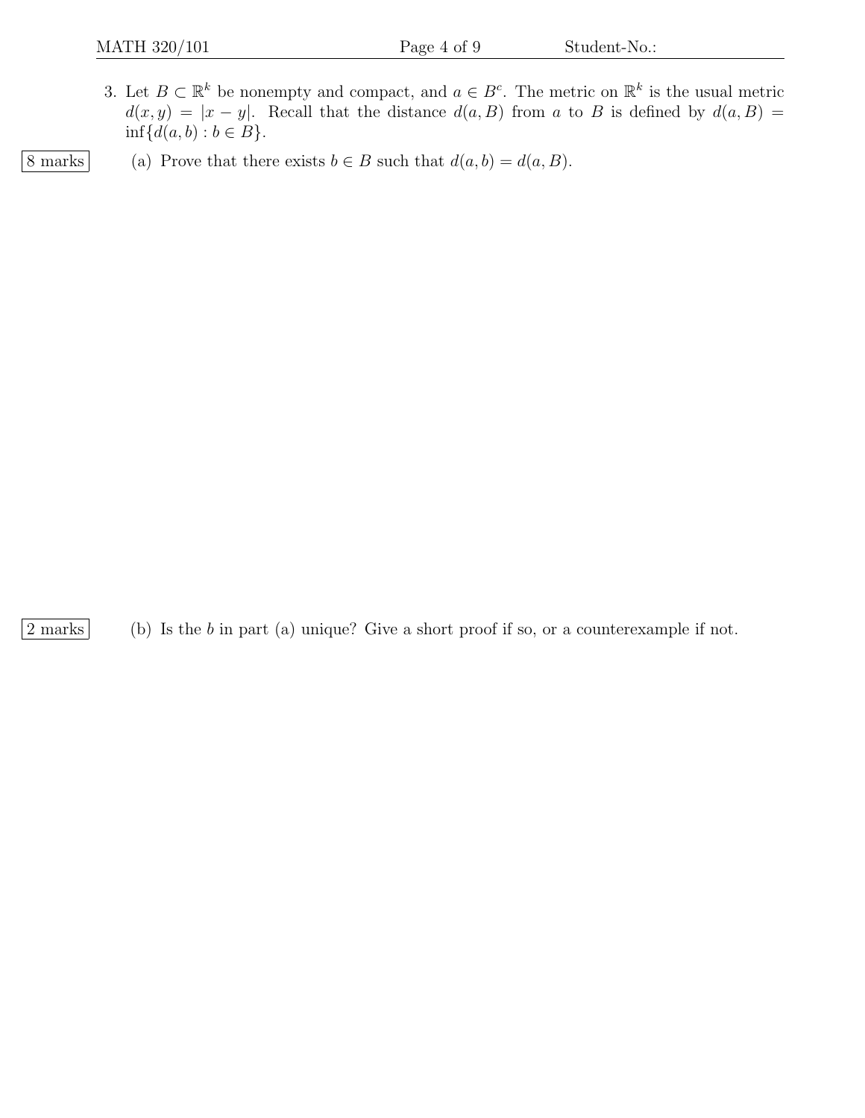3. Let  $B \subset \mathbb{R}^k$  be nonempty and compact, and  $a \in B^c$ . The metric on  $\mathbb{R}^k$  is the usual metric  $d(x, y) = |x - y|$ . Recall that the distance  $d(a, B)$  from a to B is defined by  $d(a, B)$  =  $\inf \{d(a, b) : b \in B\}.$ 

8 marks (a) Prove that there exists  $b \in B$  such that  $d(a, b) = d(a, B)$ .

 $|2 \text{ marks}|$  (b) Is the b in part (a) unique? Give a short proof if so, or a counterexample if not.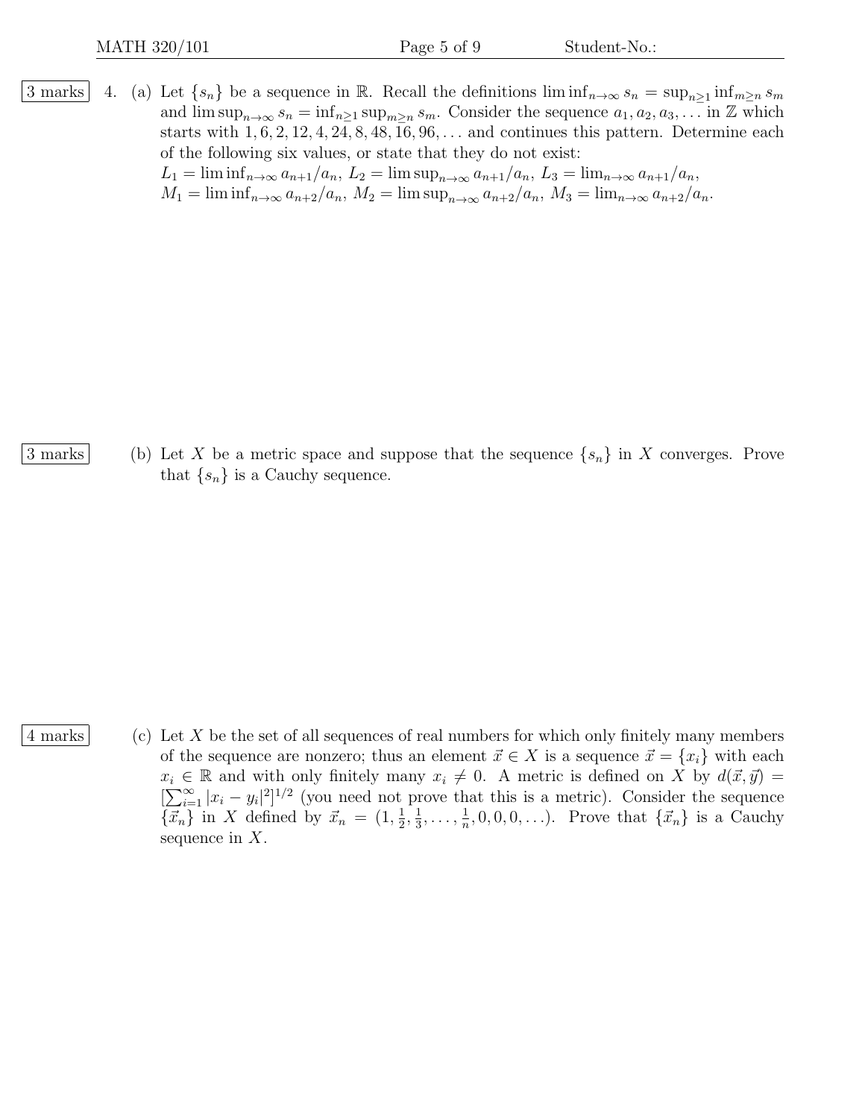3 marks 4. (a) Let  $\{s_n\}$  be a sequence in R. Recall the definitions  $\liminf_{n\to\infty} s_n = \sup_{n\geq 1} \inf_{m\geq n} s_m$ and  $\limsup_{n\to\infty} s_n = \inf_{n\geq 1} \sup_{m\geq n} s_m$ . Consider the sequence  $a_1, a_2, a_3, \ldots$  in Z which starts with  $1, 6, 2, 12, 4, 24, 8, 48, 16, 96, \ldots$  and continues this pattern. Determine each of the following six values, or state that they do not exist:  $L_1 = \liminf_{n \to \infty} a_{n+1}/a_n$ ,  $L_2 = \limsup_{n \to \infty} a_{n+1}/a_n$ ,  $L_3 = \lim_{n \to \infty} a_{n+1}/a_n$ ,  $M_1 = \liminf_{n \to \infty} a_{n+2}/a_n, M_2 = \limsup_{n \to \infty} a_{n+2}/a_n, M_3 = \lim_{n \to \infty} a_{n+2}/a_n.$ 

3 marks (b) Let X be a metric space and suppose that the sequence  $\{s_n\}$  in X converges. Prove that  $\{s_n\}$  is a Cauchy sequence.

4 marks (c) Let X be the set of all sequences of real numbers for which only finitely many members of the sequence are nonzero; thus an element  $\vec{x} \in X$  is a sequence  $\vec{x} = \{x_i\}$  with each  $x_i \in \mathbb{R}$  and with only finitely many  $x_i \neq 0$ . A metric is defined on X by  $d(\vec{x}, \vec{y}) =$  $[\sum_{i=1}^{\infty} |x_i - y_i|^2]^{1/2}$  (you need not prove that this is a metric). Consider the sequence  $\{\vec{x}_n\}$  in X defined by  $\vec{x}_n = (1, \frac{1}{2})$  $\frac{1}{2}, \frac{1}{3}$  $\frac{1}{3}, \ldots, \frac{1}{n}$  $\frac{1}{n}, 0, 0, 0, \ldots$ ). Prove that  $\{\vec{x}_n\}$  is a Cauchy sequence in  $X$ .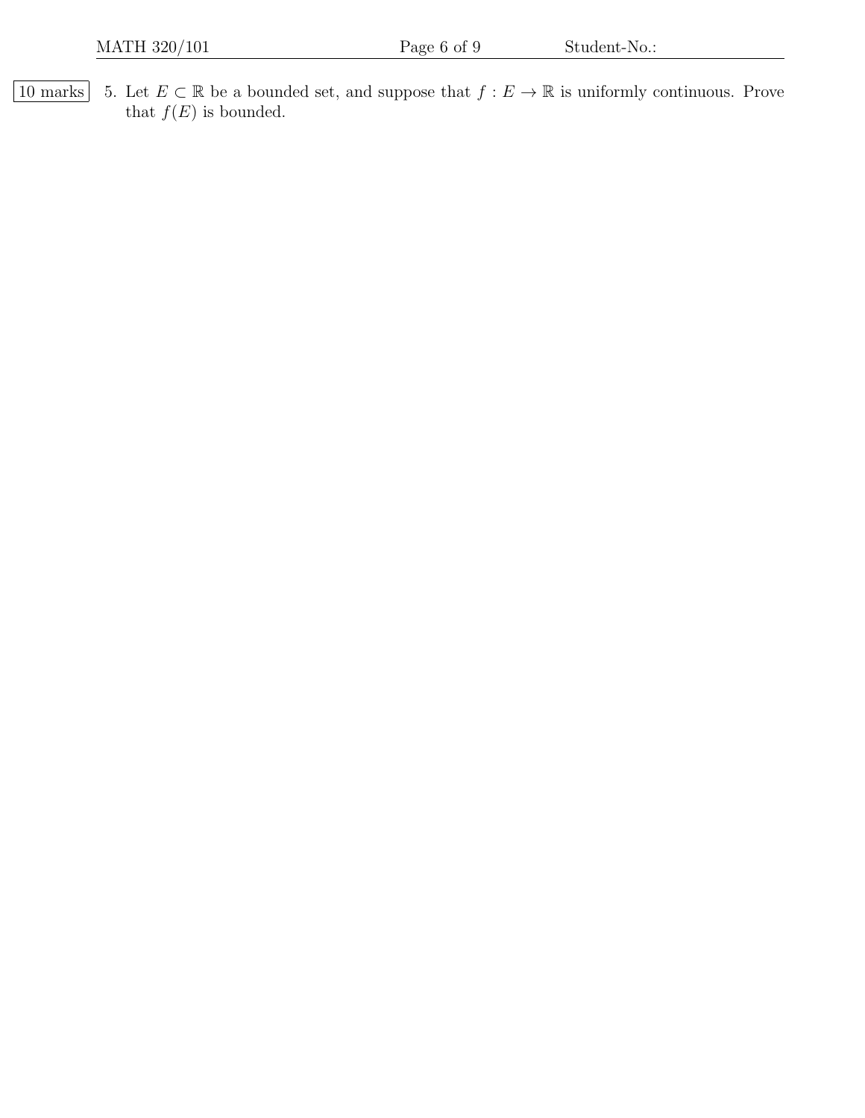10 marks 5. Let  $E \subset \mathbb{R}$  be a bounded set, and suppose that  $f : E \to \mathbb{R}$  is uniformly continuous. Prove that  $f(E)$  is bounded.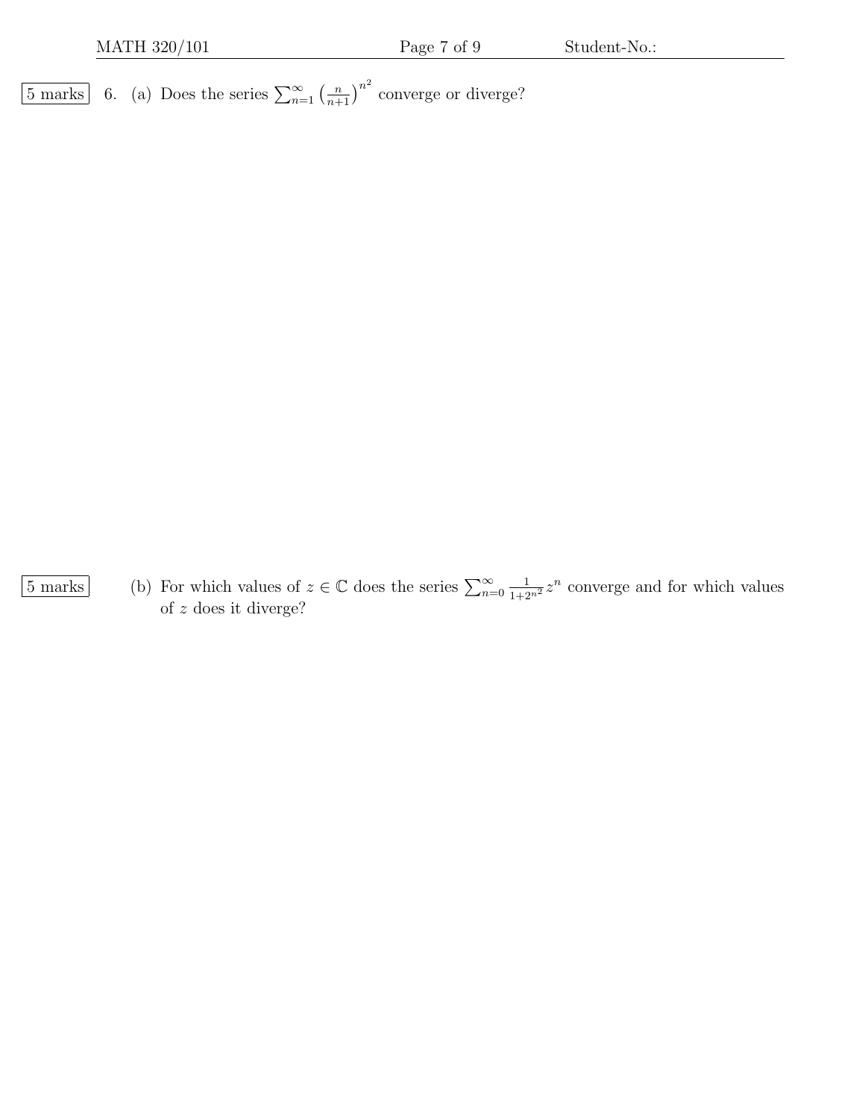$\overline{5 \text{ marks}}$  6. (a) Does the series  $\sum_{n=1}^{\infty} \left(\frac{n}{n+1}\right)^{n^2}$  converge or diverge?

 $\overline{5 \text{ marks}}$  (b) For which values of  $z \in \mathbb{C}$  does the series  $\sum_{n=0}^{\infty}$  $\frac{1}{1+2^{n^2}}z^n$  converge and for which values of z does it diverge?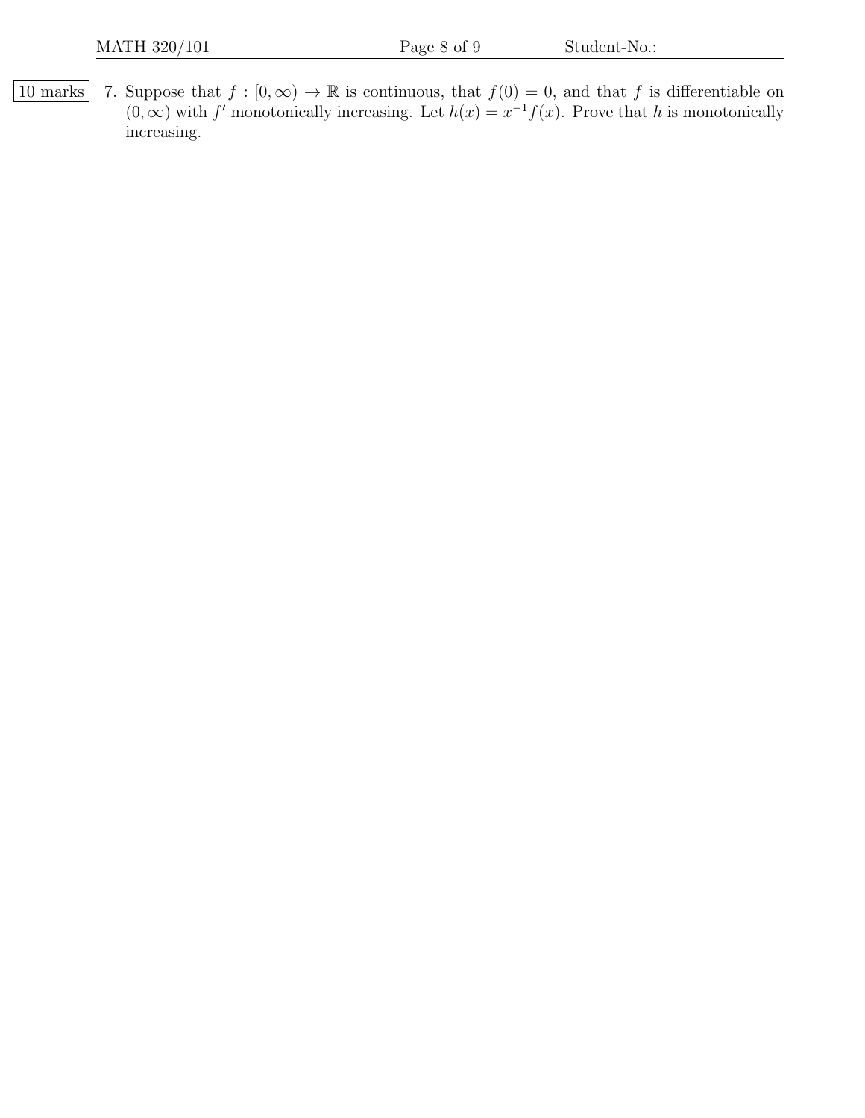10 marks 7. Suppose that  $f : [0, \infty) \to \mathbb{R}$  is continuous, that  $f(0) = 0$ , and that f is differentiable on  $(0, \infty)$  with f' monotonically increasing. Let  $h(x) = x^{-1}f(x)$ . Prove that h is monotonically increasing.